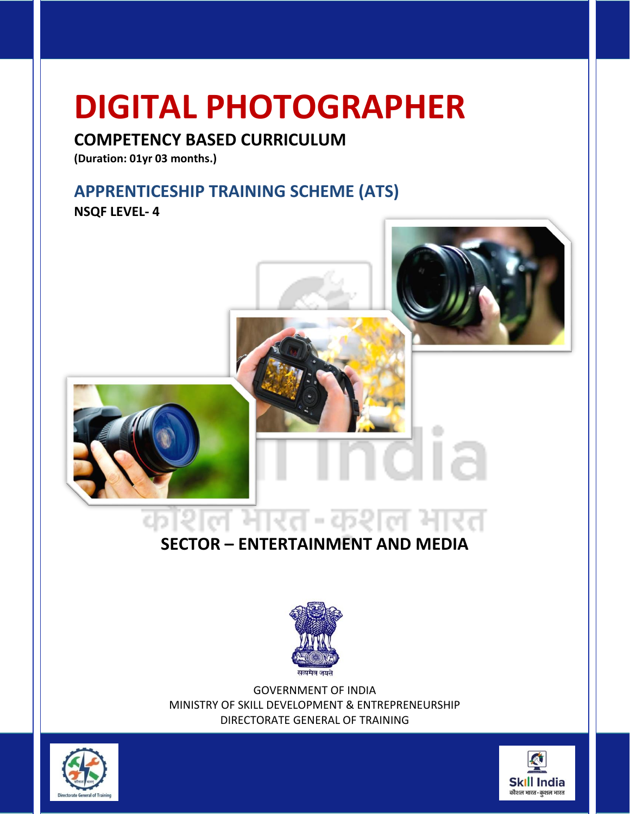#### **COMPETENCY BASED CURRICULUM**

**(Duration: 01yr 03 months.)**

### **APPRENTICESHIP TRAINING SCHEME (ATS)**

**NSQF LEVEL- 4**



### **SECTOR – ENTERTAINMENT AND MEDIA**



GOVERNMENT OF INDIA MINISTRY OF SKILL DEVELOPMENT & ENTREPRENEURSHIP DIRECTORATE GENERAL OF TRAINING



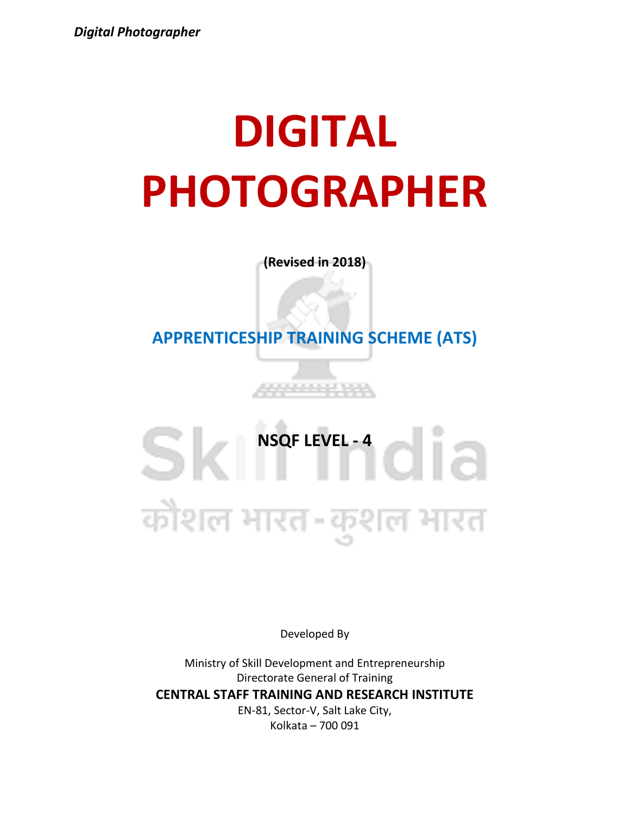**(Revised in 2018)**

**APPRENTICESHIP TRAINING SCHEME (ATS)**

<u> 11111 11111</u>

## SICI<sup>NSQF LEVEL -4</sup> कौशल भारत-कुशल भारत

Developed By

Ministry of Skill Development and Entrepreneurship Directorate General of Training **CENTRAL STAFF TRAINING AND RESEARCH INSTITUTE** EN-81, Sector-V, Salt Lake City, Kolkata – 700 091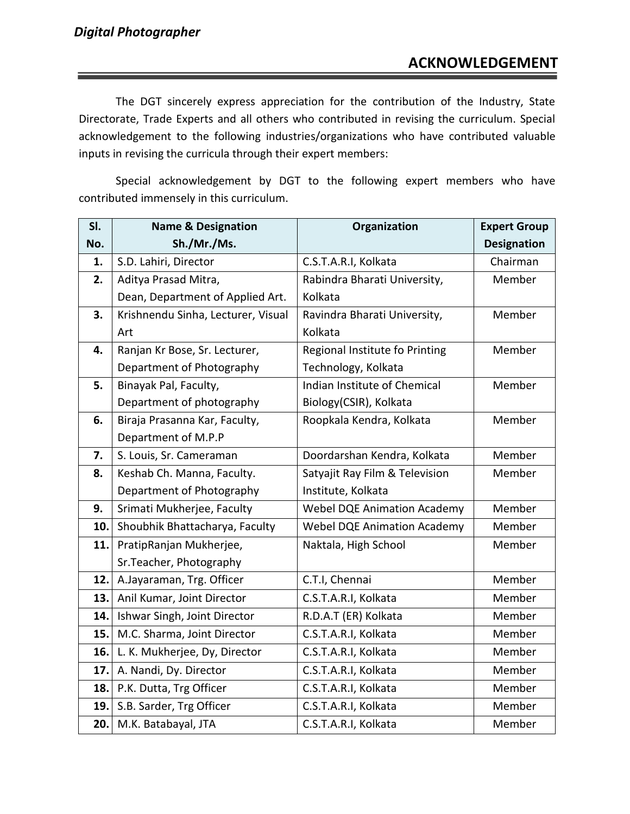The DGT sincerely express appreciation for the contribution of the Industry, State Directorate, Trade Experts and all others who contributed in revising the curriculum. Special acknowledgement to the following industries/organizations who have contributed valuable inputs in revising the curricula through their expert members:

Special acknowledgement by DGT to the following expert members who have contributed immensely in this curriculum.

| SI. | <b>Name &amp; Designation</b>      | Organization                       | <b>Expert Group</b> |
|-----|------------------------------------|------------------------------------|---------------------|
| No. | Sh./Mr./Ms.                        |                                    | <b>Designation</b>  |
| 1.  | S.D. Lahiri, Director              | C.S.T.A.R.I, Kolkata               | Chairman            |
| 2.  | Aditya Prasad Mitra,               | Rabindra Bharati University,       | Member              |
|     | Dean, Department of Applied Art.   | Kolkata                            |                     |
| 3.  | Krishnendu Sinha, Lecturer, Visual | Ravindra Bharati University,       | Member              |
|     | Art                                | Kolkata                            |                     |
| 4.  | Ranjan Kr Bose, Sr. Lecturer,      | Regional Institute fo Printing     | Member              |
|     | Department of Photography          | Technology, Kolkata                |                     |
| 5.  | Binayak Pal, Faculty,              | Indian Institute of Chemical       | Member              |
|     | Department of photography          | Biology(CSIR), Kolkata             |                     |
| 6.  | Biraja Prasanna Kar, Faculty,      | Roopkala Kendra, Kolkata           | Member              |
|     | Department of M.P.P                |                                    |                     |
| 7.  | S. Louis, Sr. Cameraman            | Doordarshan Kendra, Kolkata        | Member              |
| 8.  | Keshab Ch. Manna, Faculty.         | Satyajit Ray Film & Television     | Member              |
|     | Department of Photography          | Institute, Kolkata                 |                     |
| 9.  | Srimati Mukherjee, Faculty         | <b>Webel DQE Animation Academy</b> | Member              |
| 10. | Shoubhik Bhattacharya, Faculty     | <b>Webel DQE Animation Academy</b> | Member              |
| 11. | PratipRanjan Mukherjee,            | Naktala, High School               | Member              |
|     | Sr. Teacher, Photography           |                                    |                     |
| 12. | A.Jayaraman, Trg. Officer          | C.T.I, Chennai                     | Member              |
| 13. | Anil Kumar, Joint Director         | C.S.T.A.R.I, Kolkata               | Member              |
| 14. | Ishwar Singh, Joint Director       | R.D.A.T (ER) Kolkata               | Member              |
| 15. | M.C. Sharma, Joint Director        | C.S.T.A.R.I, Kolkata               | Member              |
| 16. | L. K. Mukherjee, Dy, Director      | C.S.T.A.R.I, Kolkata               | Member              |
| 17. | A. Nandi, Dy. Director             | C.S.T.A.R.I, Kolkata               | Member              |
| 18. | P.K. Dutta, Trg Officer            | C.S.T.A.R.I, Kolkata               | Member              |
| 19. | S.B. Sarder, Trg Officer           | C.S.T.A.R.I, Kolkata               | Member              |
| 20. | M.K. Batabayal, JTA                | C.S.T.A.R.I, Kolkata               | Member              |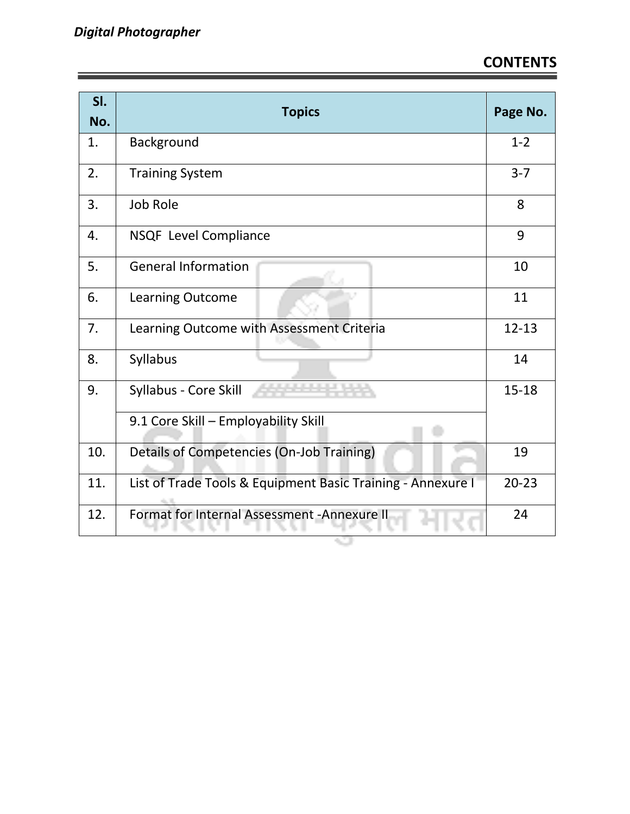| SI.<br>No. | <b>Topics</b>                                               | Page No.  |
|------------|-------------------------------------------------------------|-----------|
| 1.         | Background                                                  | $1 - 2$   |
| 2.         | <b>Training System</b>                                      | $3 - 7$   |
| 3.         | <b>Job Role</b>                                             | 8         |
| 4.         | NSQF Level Compliance                                       | 9         |
| 5.         | <b>General Information</b>                                  | 10        |
| 6.         | Learning Outcome                                            | 11        |
| 7.         | Learning Outcome with Assessment Criteria                   | $12 - 13$ |
| 8.         | Syllabus                                                    | 14        |
| 9.         | Syllabus - Core Skill                                       | $15 - 18$ |
|            | 9.1 Core Skill - Employability Skill                        |           |
| 10.        | Details of Competencies (On-Job Training)                   | 19        |
| 11.        | List of Trade Tools & Equipment Basic Training - Annexure I | $20 - 23$ |
| 12.        | Format for Internal Assessment - Annexure II                | 24        |

Ġ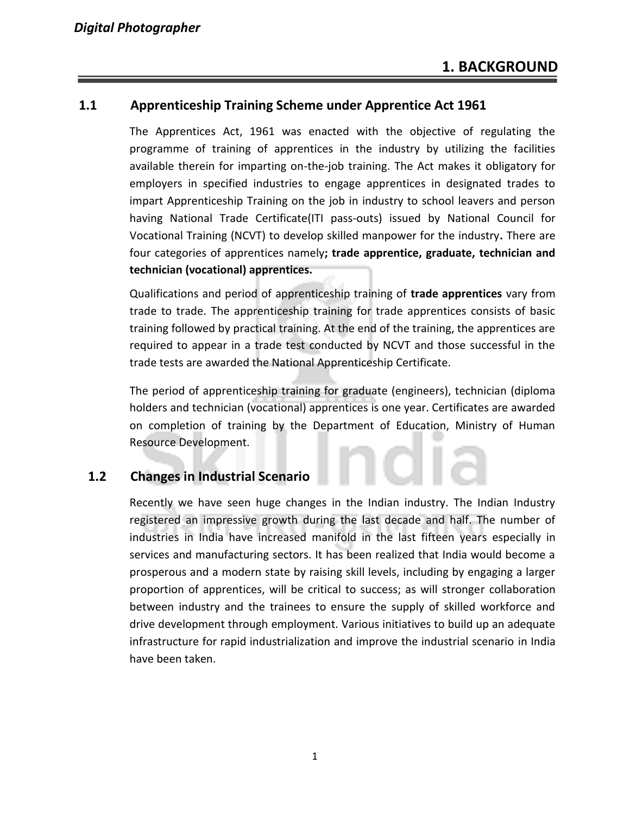#### **1.1 Apprenticeship Training Scheme under Apprentice Act 1961**

The Apprentices Act, 1961 was enacted with the objective of regulating the programme of training of apprentices in the industry by utilizing the facilities available therein for imparting on-the-job training. The Act makes it obligatory for employers in specified industries to engage apprentices in designated trades to impart Apprenticeship Training on the job in industry to school leavers and person having National Trade Certificate(ITI pass-outs) issued by National Council for Vocational Training (NCVT) to develop skilled manpower for the industry**.** There are four categories of apprentices namely**; trade apprentice, graduate, technician and technician (vocational) apprentices.** 

Qualifications and period of apprenticeship training of **trade apprentices** vary from trade to trade. The apprenticeship training for trade apprentices consists of basic training followed by practical training. At the end of the training, the apprentices are required to appear in a trade test conducted by NCVT and those successful in the trade tests are awarded the National Apprenticeship Certificate.

The period of apprenticeship training for graduate (engineers), technician (diploma holders and technician (vocational) apprentices is one year. Certificates are awarded on completion of training by the Department of Education, Ministry of Human Resource Development.

#### **1.2 Changes in Industrial Scenario**

Recently we have seen huge changes in the Indian industry. The Indian Industry registered an impressive growth during the last decade and half. The number of industries in India have increased manifold in the last fifteen years especially in services and manufacturing sectors. It has been realized that India would become a prosperous and a modern state by raising skill levels, including by engaging a larger proportion of apprentices, will be critical to success; as will stronger collaboration between industry and the trainees to ensure the supply of skilled workforce and drive development through employment. Various initiatives to build up an adequate infrastructure for rapid industrialization and improve the industrial scenario in India have been taken.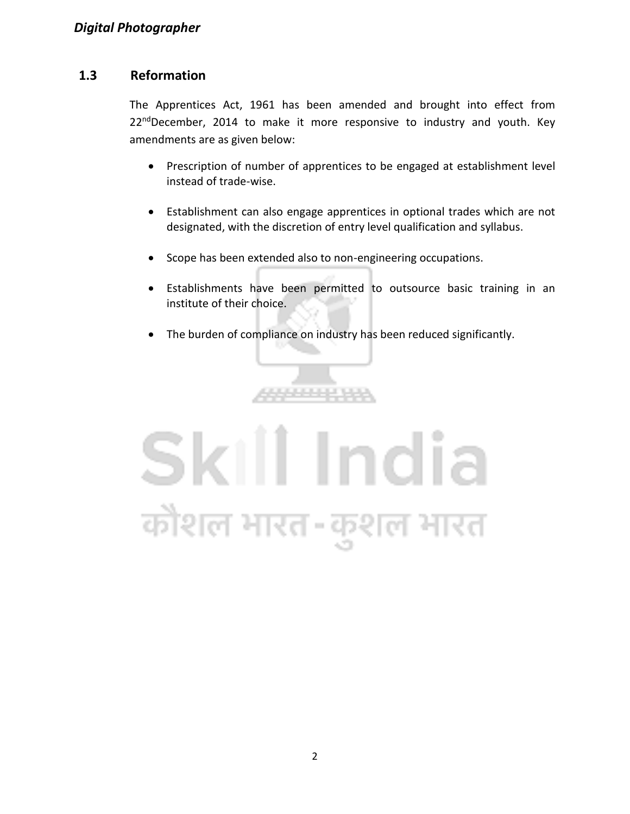#### **1.3 Reformation**

The Apprentices Act, 1961 has been amended and brought into effect from  $22<sup>nd</sup>$ December, 2014 to make it more responsive to industry and youth. Key amendments are as given below:

- Prescription of number of apprentices to be engaged at establishment level instead of trade-wise.
- Establishment can also engage apprentices in optional trades which are not designated, with the discretion of entry level qualification and syllabus.
- Scope has been extended also to non-engineering occupations.
- Establishments have been permitted to outsource basic training in an institute of their choice.
- The burden of compliance on industry has been reduced significantly.

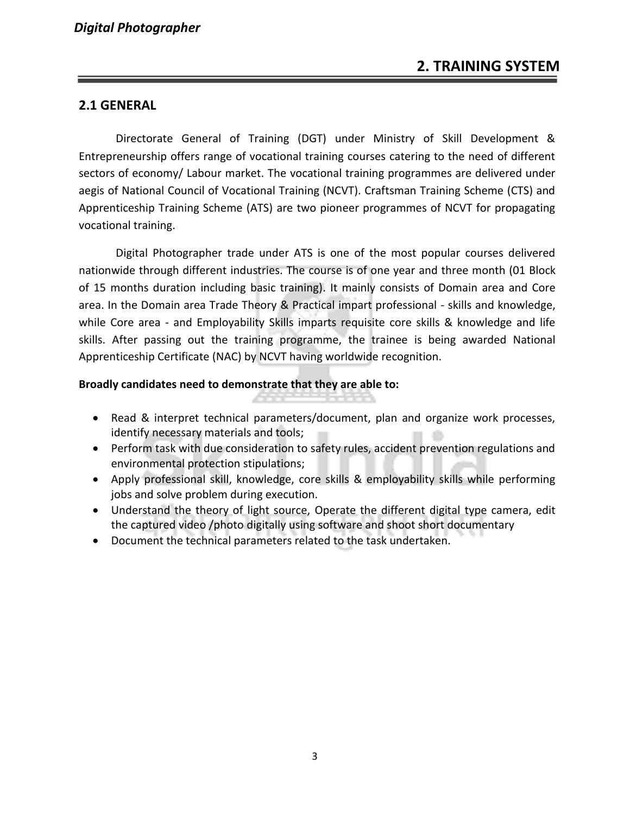#### **2.1 GENERAL**

Directorate General of Training (DGT) under Ministry of Skill Development & Entrepreneurship offers range of vocational training courses catering to the need of different sectors of economy/ Labour market. The vocational training programmes are delivered under aegis of National Council of Vocational Training (NCVT). Craftsman Training Scheme (CTS) and Apprenticeship Training Scheme (ATS) are two pioneer programmes of NCVT for propagating vocational training.

Digital Photographer trade under ATS is one of the most popular courses delivered nationwide through different industries. The course is of one year and three month (01 Block of 15 months duration including basic training). It mainly consists of Domain area and Core area. In the Domain area Trade Theory & Practical impart professional - skills and knowledge, while Core area - and Employability Skills imparts requisite core skills & knowledge and life skills. After passing out the training programme, the trainee is being awarded National Apprenticeship Certificate (NAC) by NCVT having worldwide recognition.

#### **Broadly candidates need to demonstrate that they are able to:**

- Read & interpret technical parameters/document, plan and organize work processes, identify necessary materials and tools;
- Perform task with due consideration to safety rules, accident prevention regulations and environmental protection stipulations;
- Apply professional skill, knowledge, core skills & employability skills while performing jobs and solve problem during execution.
- Understand the theory of light source, Operate the different digital type camera, edit the captured video /photo digitally using software and shoot short documentary
- Document the technical parameters related to the task undertaken.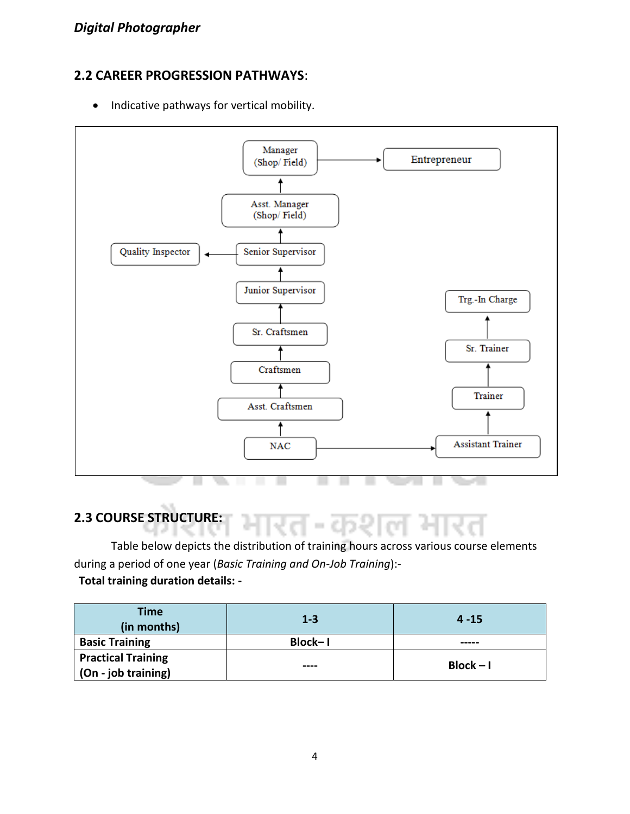#### **2.2 CAREER PROGRESSION PATHWAYS**:

• Indicative pathways for vertical mobility.



### **2.3 COURSE STRUCTURE:**

Table below depicts the distribution of training hours across various course elements during a period of one year (*Basic Training and On-Job Training*):-

#### **Total training duration details: -**

| <b>Time</b><br>(in months) | $1 - 3$ | $4 - 15$    |  |
|----------------------------|---------|-------------|--|
| <b>Basic Training</b>      | Block-1 |             |  |
| <b>Practical Training</b>  |         |             |  |
| (On - job training)        | ----    | $Block - I$ |  |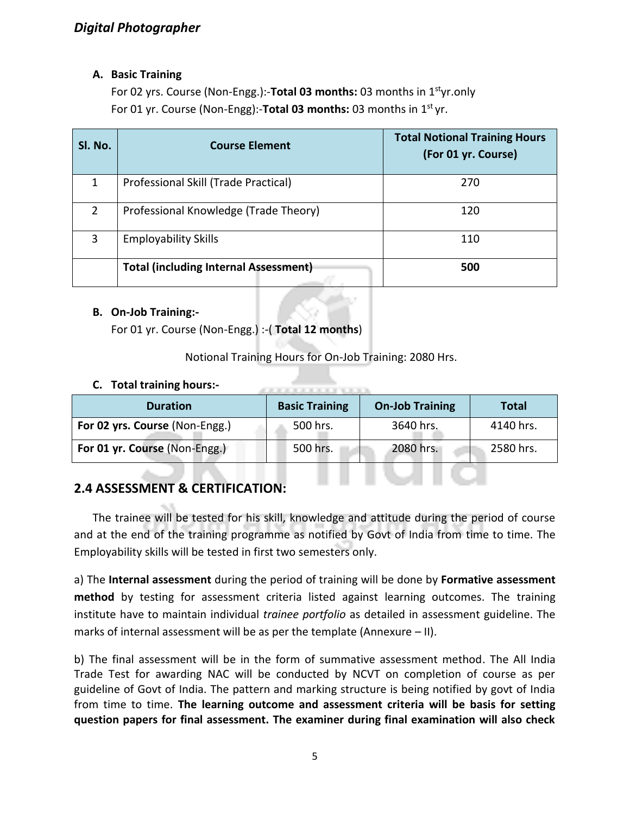#### **A. Basic Training**

For 02 yrs. Course (Non-Engg.):-**Total 03 months:** 03 months in 1styr.only For 01 yr. Course (Non-Engg):-**Total 03 months:** 03 months in 1st yr.

| Sl. No. | <b>Course Element</b>                        | <b>Total Notional Training Hours</b><br>(For 01 yr. Course) |
|---------|----------------------------------------------|-------------------------------------------------------------|
|         | Professional Skill (Trade Practical)         | 270                                                         |
| 2       | Professional Knowledge (Trade Theory)        | 120                                                         |
| 3       | <b>Employability Skills</b>                  | 110                                                         |
|         | <b>Total (including Internal Assessment)</b> | 500                                                         |

#### **B. On-Job Training:-**

For 01 yr. Course (Non-Engg.) :-( **Total 12 months**)

Notional Training Hours for On-Job Training: 2080 Hrs.

. . . . . . . . . . .

. . . . . .

#### **C. Total training hours:-**

| <b>Duration</b>                | <b>Basic Training</b> | <b>On-Job Training</b> | Total     |
|--------------------------------|-----------------------|------------------------|-----------|
| For 02 yrs. Course (Non-Engg.) | 500 hrs.              | 3640 hrs.              | 4140 hrs. |
| For 01 yr. Course (Non-Engg.)  | 500 hrs.              | 2080 hrs.              | 2580 hrs. |

#### **2.4 ASSESSMENT & CERTIFICATION:**

The trainee will be tested for his skill, knowledge and attitude during the period of course and at the end of the training programme as notified by Govt of India from time to time. The Employability skills will be tested in first two semesters only.

a) The **Internal assessment** during the period of training will be done by **Formative assessment method** by testing for assessment criteria listed against learning outcomes. The training institute have to maintain individual *trainee portfolio* as detailed in assessment guideline. The marks of internal assessment will be as per the template (Annexure – II).

b) The final assessment will be in the form of summative assessment method. The All India Trade Test for awarding NAC will be conducted by NCVT on completion of course as per guideline of Govt of India. The pattern and marking structure is being notified by govt of India from time to time. **The learning outcome and assessment criteria will be basis for setting question papers for final assessment. The examiner during final examination will also check**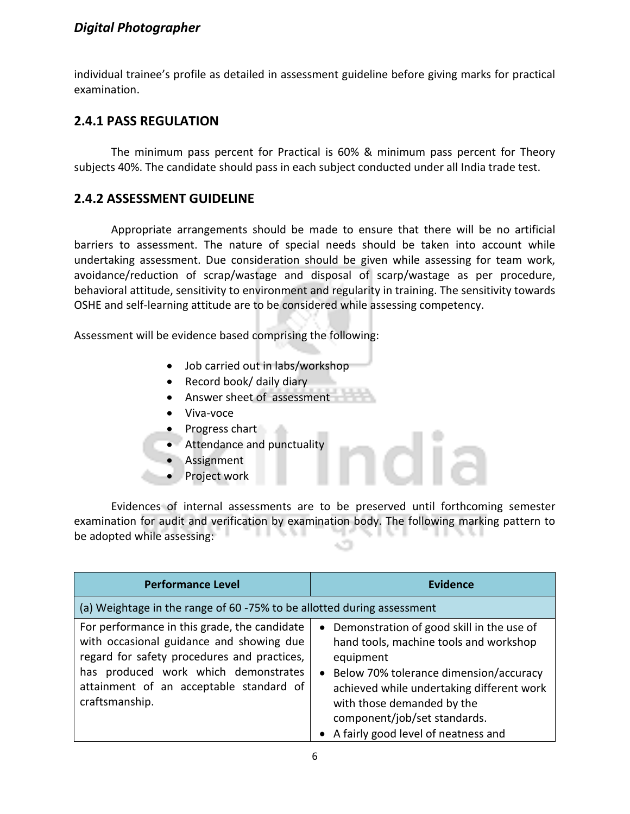#### *Digital Photographer*

individual trainee's profile as detailed in assessment guideline before giving marks for practical examination.

#### **2.4.1 PASS REGULATION**

The minimum pass percent for Practical is 60% & minimum pass percent for Theory subjects 40%. The candidate should pass in each subject conducted under all India trade test.

#### **2.4.2 ASSESSMENT GUIDELINE**

Appropriate arrangements should be made to ensure that there will be no artificial barriers to assessment. The nature of special needs should be taken into account while undertaking assessment. Due consideration should be given while assessing for team work, avoidance/reduction of scrap/wastage and disposal of scarp/wastage as per procedure, behavioral attitude, sensitivity to environment and regularity in training. The sensitivity towards OSHE and self-learning attitude are to be considered while assessing competency.

Assessment will be evidence based comprising the following:

- Job carried out in labs/workshop
- Record book/ daily diary
- Answer sheet of assessment
- Viva-voce
- **Progress chart**
- Attendance and punctuality
- Assignment
- Project work

Evidences of internal assessments are to be preserved until forthcoming semester examination for audit and verification by examination body. The following marking pattern to be adopted while assessing:

| <b>Performance Level</b>                                                                                                                                                                                                                     | <b>Evidence</b>                                                                                                                                                                                                                                                                                    |
|----------------------------------------------------------------------------------------------------------------------------------------------------------------------------------------------------------------------------------------------|----------------------------------------------------------------------------------------------------------------------------------------------------------------------------------------------------------------------------------------------------------------------------------------------------|
| (a) Weightage in the range of 60 -75% to be allotted during assessment                                                                                                                                                                       |                                                                                                                                                                                                                                                                                                    |
| For performance in this grade, the candidate<br>with occasional guidance and showing due<br>regard for safety procedures and practices,<br>has produced work which demonstrates<br>attainment of an acceptable standard of<br>craftsmanship. | • Demonstration of good skill in the use of<br>hand tools, machine tools and workshop<br>equipment<br>• Below 70% tolerance dimension/accuracy<br>achieved while undertaking different work<br>with those demanded by the<br>component/job/set standards.<br>• A fairly good level of neatness and |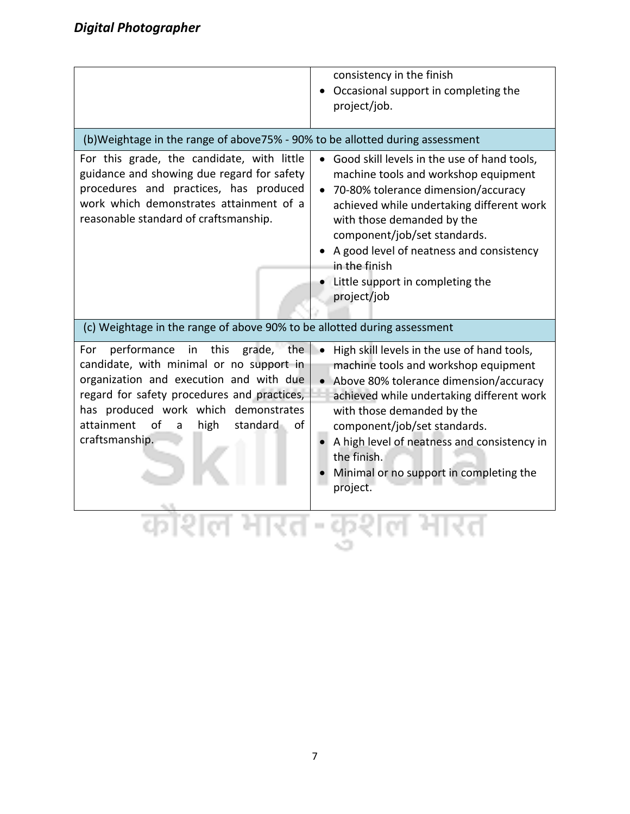|                                                                                                                                                                                                                                                                                                     | consistency in the finish<br>Occasional support in completing the<br>project/job.                                                                                                                                                                                                                                                                                            |
|-----------------------------------------------------------------------------------------------------------------------------------------------------------------------------------------------------------------------------------------------------------------------------------------------------|------------------------------------------------------------------------------------------------------------------------------------------------------------------------------------------------------------------------------------------------------------------------------------------------------------------------------------------------------------------------------|
| (b)Weightage in the range of above75% - 90% to be allotted during assessment                                                                                                                                                                                                                        |                                                                                                                                                                                                                                                                                                                                                                              |
| For this grade, the candidate, with little<br>guidance and showing due regard for safety<br>procedures and practices, has produced<br>work which demonstrates attainment of a<br>reasonable standard of craftsmanship.                                                                              | • Good skill levels in the use of hand tools,<br>machine tools and workshop equipment<br>70-80% tolerance dimension/accuracy<br>achieved while undertaking different work<br>with those demanded by the<br>component/job/set standards.<br>• A good level of neatness and consistency<br>in the finish<br>Little support in completing the<br>project/job                    |
| (c) Weightage in the range of above 90% to be allotted during assessment                                                                                                                                                                                                                            |                                                                                                                                                                                                                                                                                                                                                                              |
| For<br>performance<br>in<br>this<br>grade, the<br>candidate, with minimal or no support in<br>organization and execution and with due<br>regard for safety procedures and practices,<br>has produced work which demonstrates<br>attainment<br>of<br>high<br>- of<br>standard<br>a<br>craftsmanship. | High skill levels in the use of hand tools,<br>$\bullet$<br>machine tools and workshop equipment<br>• Above 80% tolerance dimension/accuracy<br>achieved while undertaking different work<br>with those demanded by the<br>component/job/set standards.<br>A high level of neatness and consistency in<br>the finish.<br>Minimal or no support in completing the<br>project. |
|                                                                                                                                                                                                                                                                                                     |                                                                                                                                                                                                                                                                                                                                                                              |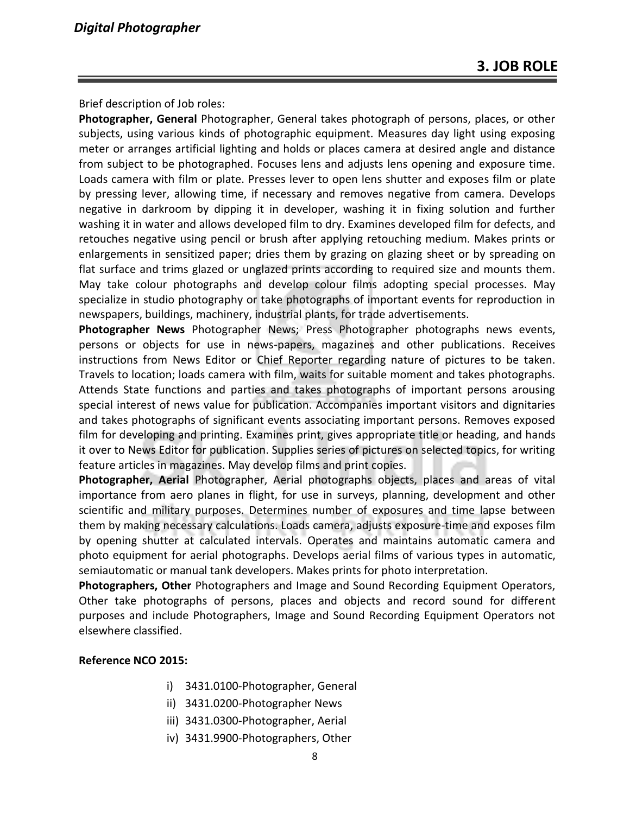Brief description of Job roles:

**Photographer, General** Photographer, General takes photograph of persons, places, or other subjects, using various kinds of photographic equipment. Measures day light using exposing meter or arranges artificial lighting and holds or places camera at desired angle and distance from subject to be photographed. Focuses lens and adjusts lens opening and exposure time. Loads camera with film or plate. Presses lever to open lens shutter and exposes film or plate by pressing lever, allowing time, if necessary and removes negative from camera. Develops negative in darkroom by dipping it in developer, washing it in fixing solution and further washing it in water and allows developed film to dry. Examines developed film for defects, and retouches negative using pencil or brush after applying retouching medium. Makes prints or enlargements in sensitized paper; dries them by grazing on glazing sheet or by spreading on flat surface and trims glazed or unglazed prints according to required size and mounts them. May take colour photographs and develop colour films adopting special processes. May specialize in studio photography or take photographs of important events for reproduction in newspapers, buildings, machinery, industrial plants, for trade advertisements.

**Photographer News** Photographer News; Press Photographer photographs news events, persons or objects for use in news-papers, magazines and other publications. Receives instructions from News Editor or Chief Reporter regarding nature of pictures to be taken. Travels to location; loads camera with film, waits for suitable moment and takes photographs. Attends State functions and parties and takes photographs of important persons arousing special interest of news value for publication. Accompanies important visitors and dignitaries and takes photographs of significant events associating important persons. Removes exposed film for developing and printing. Examines print, gives appropriate title or heading, and hands it over to News Editor for publication. Supplies series of pictures on selected topics, for writing feature articles in magazines. May develop films and print copies.

**Photographer, Aerial** Photographer, Aerial photographs objects, places and areas of vital importance from aero planes in flight, for use in surveys, planning, development and other scientific and military purposes. Determines number of exposures and time lapse between them by making necessary calculations. Loads camera, adjusts exposure-time and exposes film by opening shutter at calculated intervals. Operates and maintains automatic camera and photo equipment for aerial photographs. Develops aerial films of various types in automatic, semiautomatic or manual tank developers. Makes prints for photo interpretation.

**Photographers, Other** Photographers and Image and Sound Recording Equipment Operators, Other take photographs of persons, places and objects and record sound for different purposes and include Photographers, Image and Sound Recording Equipment Operators not elsewhere classified.

#### **Reference NCO 2015:**

- i) 3431.0100-Photographer, General
- ii) 3431.0200-Photographer News
- iii) 3431.0300-Photographer, Aerial
- iv) 3431.9900-Photographers, Other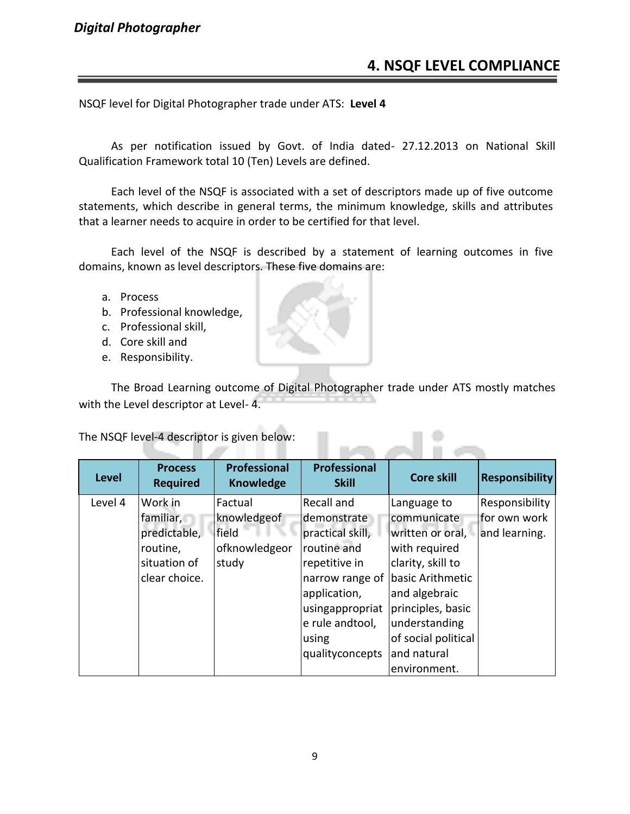#### *Digital Photographer*

#### **4. NSQF LEVEL COMPLIANCE**

NSQF level for Digital Photographer trade under ATS: **Level 4**

As per notification issued by Govt. of India dated- 27.12.2013 on National Skill Qualification Framework total 10 (Ten) Levels are defined.

Each level of the NSQF is associated with a set of descriptors made up of five outcome statements, which describe in general terms, the minimum knowledge, skills and attributes that a learner needs to acquire in order to be certified for that level.

Each level of the NSQF is described by a statement of learning outcomes in five domains, known as level descriptors. These five domains are:

- a. Process
- b. Professional knowledge,
- c. Professional skill,
- d. Core skill and
- e. Responsibility.

The Broad Learning outcome of Digital Photographer trade under ATS mostly matches with the Level descriptor at Level- 4.

The NSQF level-4 descriptor is given below:

| <b>Level</b> | <b>Process</b><br><b>Required</b> | <b>Professional</b><br><b>Knowledge</b> | <b>Professional</b><br><b>Skill</b> | <b>Core skill</b>   | <b>Responsibility</b> |
|--------------|-----------------------------------|-----------------------------------------|-------------------------------------|---------------------|-----------------------|
| Level 4      | Work in                           | Factual                                 | Recall and                          | Language to         | Responsibility        |
|              | familiar,                         | knowledgeof                             | demonstrate                         | communicate         | for own work          |
|              | predictable,                      | field                                   | practical skill,                    | written or oral,    | and learning.         |
|              | routine,                          | ofknowledgeor                           | routine and                         | with required       |                       |
|              | situation of                      | study                                   | repetitive in                       | clarity, skill to   |                       |
|              | clear choice.                     |                                         | narrow range of                     | basic Arithmetic    |                       |
|              |                                   |                                         | application,                        | and algebraic       |                       |
|              |                                   |                                         | usingappropriat                     | principles, basic   |                       |
|              |                                   |                                         | e rule andtool,                     | understanding       |                       |
|              |                                   |                                         | using                               | of social political |                       |
|              |                                   |                                         | qualityconcepts                     | and natural         |                       |
|              |                                   |                                         |                                     | environment.        |                       |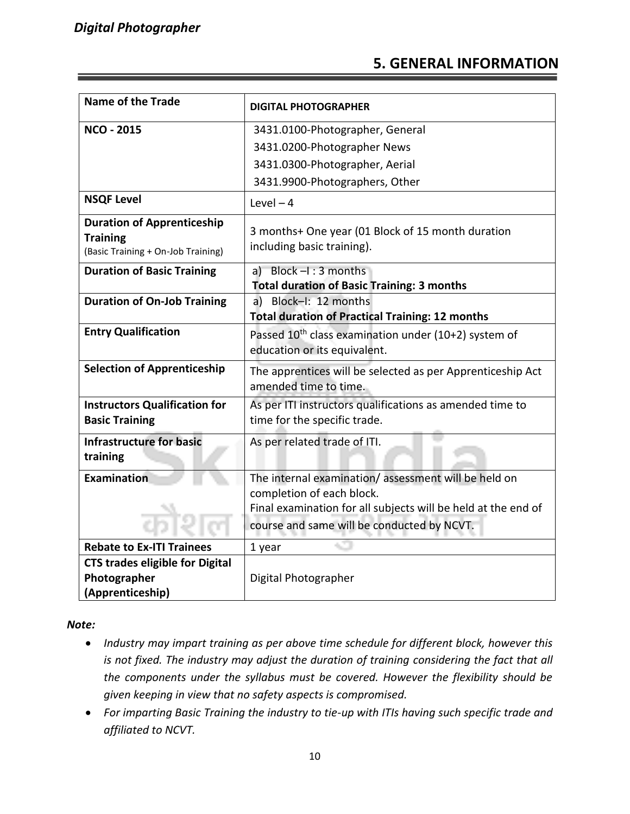#### **5. GENERAL INFORMATION**

| <b>Name of the Trade</b>                                                                   | <b>DIGITAL PHOTOGRAPHER</b>                                                                      |
|--------------------------------------------------------------------------------------------|--------------------------------------------------------------------------------------------------|
| <b>NCO - 2015</b>                                                                          | 3431.0100-Photographer, General<br>3431.0200-Photographer News                                   |
|                                                                                            | 3431.0300-Photographer, Aerial                                                                   |
|                                                                                            | 3431.9900-Photographers, Other                                                                   |
| <b>NSQF Level</b>                                                                          | Level $-4$                                                                                       |
| <b>Duration of Apprenticeship</b><br><b>Training</b><br>(Basic Training + On-Job Training) | 3 months+ One year (01 Block of 15 month duration<br>including basic training).                  |
| <b>Duration of Basic Training</b>                                                          | a) Block $-1:3$ months<br><b>Total duration of Basic Training: 3 months</b>                      |
| <b>Duration of On-Job Training</b>                                                         | Block-I: 12 months<br>a)<br><b>Total duration of Practical Training: 12 months</b>               |
| <b>Entry Qualification</b>                                                                 | Passed 10 <sup>th</sup> class examination under (10+2) system of<br>education or its equivalent. |
| <b>Selection of Apprenticeship</b>                                                         | The apprentices will be selected as per Apprenticeship Act<br>amended time to time.              |
| <b>Instructors Qualification for</b><br><b>Basic Training</b>                              | As per ITI instructors qualifications as amended time to<br>time for the specific trade.         |
| <b>Infrastructure for basic</b><br>training                                                | As per related trade of ITI.                                                                     |
| Examination                                                                                | The internal examination/assessment will be held on<br>completion of each block.                 |
|                                                                                            | Final examination for all subjects will be held at the end of                                    |
|                                                                                            | course and same will be conducted by NCVT.                                                       |
| <b>Rebate to Ex-ITI Trainees</b>                                                           | 1 year                                                                                           |
| <b>CTS trades eligible for Digital</b>                                                     |                                                                                                  |
| Photographer                                                                               | Digital Photographer                                                                             |
| (Apprenticeship)                                                                           |                                                                                                  |

*Note:*

- *Industry may impart training as per above time schedule for different block, however this is not fixed. The industry may adjust the duration of training considering the fact that all the components under the syllabus must be covered. However the flexibility should be given keeping in view that no safety aspects is compromised.*
- *For imparting Basic Training the industry to tie-up with ITIs having such specific trade and affiliated to NCVT.*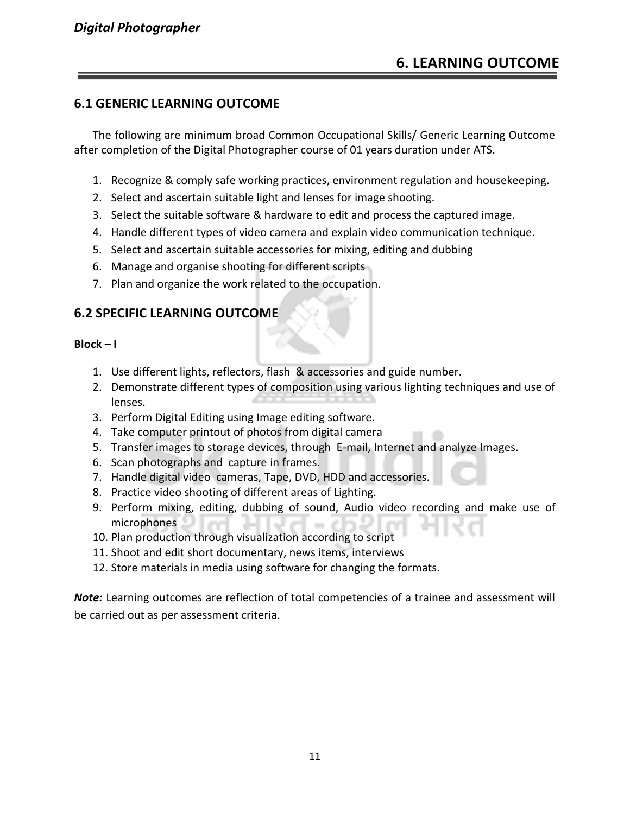#### **6.1 GENERIC LEARNING OUTCOME**

The following are minimum broad Common Occupational Skills/ Generic Learning Outcome after completion of the Digital Photographer course of 01 years duration under ATS.

- 1. Recognize & comply safe working practices, environment regulation and housekeeping.
- 2. Select and ascertain suitable light and lenses for image shooting.
- 3. Select the suitable software & hardware to edit and process the captured image.
- 4. Handle different types of video camera and explain video communication technique.
- 5. Select and ascertain suitable accessories for mixing, editing and dubbing
- 6. Manage and organise shooting for different scripts
- 7. Plan and organize the work related to the occupation.

#### **6.2 SPECIFIC LEARNING OUTCOME**

#### **Block – I**

- 1. Use different lights, reflectors, flash & accessories and guide number.
- 2. Demonstrate different types of composition using various lighting techniques and use of lenses.
- 3. Perform Digital Editing using Image editing software.
- 4. Take computer printout of photos from digital camera
- 5. Transfer images to storage devices, through E-mail, Internet and analyze Images.
- 6. Scan photographs and capture in frames.
- 7. Handle digital video cameras, Tape, DVD, HDD and accessories.
- 8. Practice video shooting of different areas of Lighting.
- 9. Perform mixing, editing, dubbing of sound, Audio video recording and make use of microphones
- 10. Plan production through visualization according to script
- 11. Shoot and edit short documentary, news items, interviews
- 12. Store materials in media using software for changing the formats.

*Note:* Learning outcomes are reflection of total competencies of a trainee and assessment will be carried out as per assessment criteria.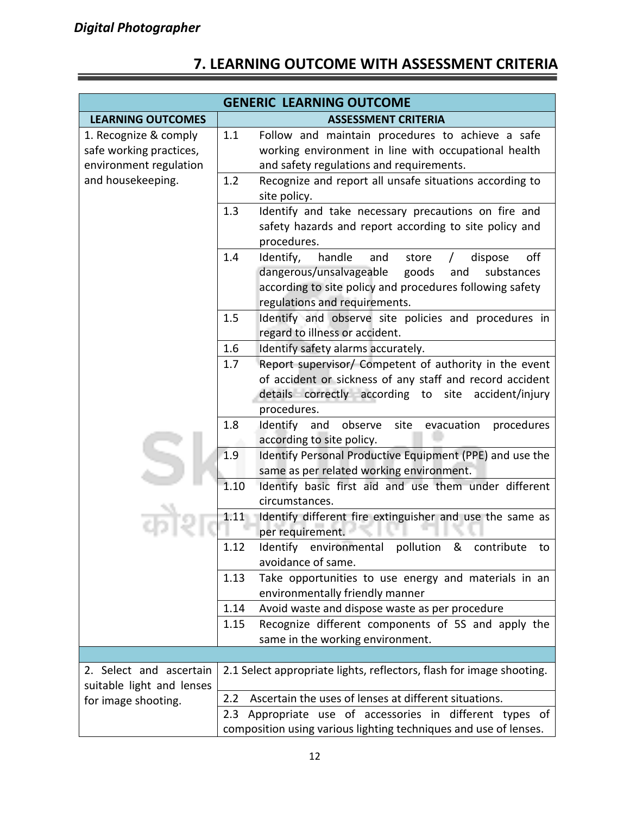|                                                                            |      | <b>GENERIC LEARNING OUTCOME</b>                                                                                                                                                                                           |
|----------------------------------------------------------------------------|------|---------------------------------------------------------------------------------------------------------------------------------------------------------------------------------------------------------------------------|
| <b>LEARNING OUTCOMES</b>                                                   |      | <b>ASSESSMENT CRITERIA</b>                                                                                                                                                                                                |
| 1. Recognize & comply<br>safe working practices,<br>environment regulation | 1.1  | Follow and maintain procedures to achieve a safe<br>working environment in line with occupational health<br>and safety regulations and requirements.                                                                      |
| and housekeeping.                                                          | 1.2  | Recognize and report all unsafe situations according to<br>site policy.                                                                                                                                                   |
|                                                                            | 1.3  | Identify and take necessary precautions on fire and<br>safety hazards and report according to site policy and<br>procedures.                                                                                              |
|                                                                            | 1.4  | Identify,<br>handle<br>off<br>and<br>store<br>dispose<br>$\sqrt{2}$<br>dangerous/unsalvageable<br>goods<br>and<br>substances<br>according to site policy and procedures following safety<br>regulations and requirements. |
|                                                                            | 1.5  | Identify and observe site policies and procedures in<br>regard to illness or accident.                                                                                                                                    |
|                                                                            | 1.6  | Identify safety alarms accurately.                                                                                                                                                                                        |
|                                                                            | 1.7  | Report supervisor/ Competent of authority in the event<br>of accident or sickness of any staff and record accident<br>details correctly according to site accident/injury<br>procedures.                                  |
|                                                                            | 1.8  | Identify and observe<br>site evacuation<br>procedures<br>according to site policy.                                                                                                                                        |
|                                                                            | 1.9  | Identify Personal Productive Equipment (PPE) and use the<br>same as per related working environment.                                                                                                                      |
|                                                                            | 1.10 | Identify basic first aid and use them under different<br>circumstances.                                                                                                                                                   |
|                                                                            | 1.11 | Identify different fire extinguisher and use the same as<br>per requirement.                                                                                                                                              |
|                                                                            | 1.12 | Identify environmental pollution & contribute<br>to<br>avoidance of same.                                                                                                                                                 |
|                                                                            | 1.13 | Take opportunities to use energy and materials in an<br>environmentally friendly manner                                                                                                                                   |
|                                                                            | 1.14 | Avoid waste and dispose waste as per procedure                                                                                                                                                                            |
|                                                                            | 1.15 | Recognize different components of 5S and apply the                                                                                                                                                                        |
|                                                                            |      | same in the working environment.                                                                                                                                                                                          |
|                                                                            |      |                                                                                                                                                                                                                           |
| 2. Select and ascertain<br>suitable light and lenses                       |      | 2.1 Select appropriate lights, reflectors, flash for image shooting.                                                                                                                                                      |
| 2.2<br>for image shooting.                                                 |      | Ascertain the uses of lenses at different situations.                                                                                                                                                                     |
|                                                                            |      | 2.3 Appropriate use of accessories in different types of<br>composition using various lighting techniques and use of lenses.                                                                                              |

#### **7. LEARNING OUTCOME WITH ASSESSMENT CRITERIA**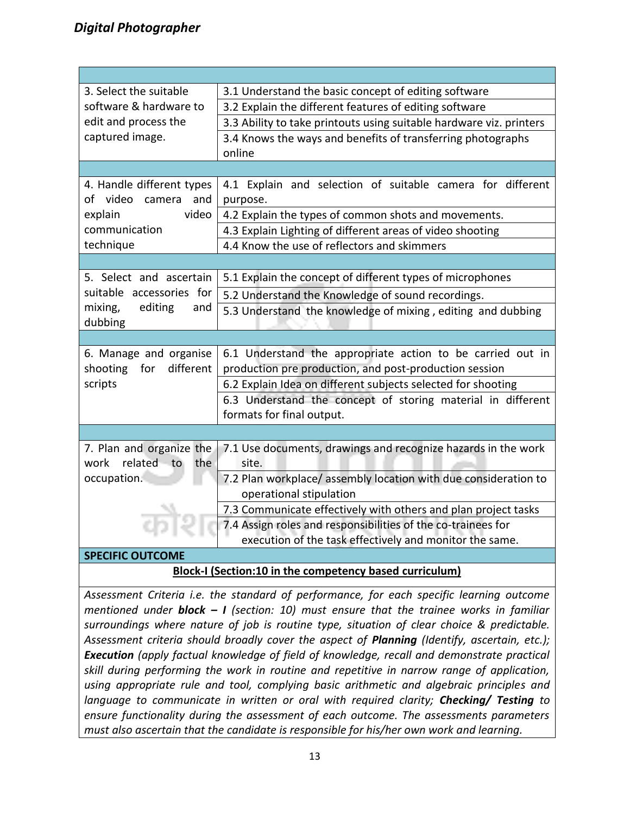| 3. Select the suitable       | 3.1 Understand the basic concept of editing software                |  |  |
|------------------------------|---------------------------------------------------------------------|--|--|
| software & hardware to       | 3.2 Explain the different features of editing software              |  |  |
| edit and process the         | 3.3 Ability to take printouts using suitable hardware viz. printers |  |  |
| captured image.              | 3.4 Knows the ways and benefits of transferring photographs         |  |  |
|                              | online                                                              |  |  |
|                              |                                                                     |  |  |
| 4. Handle different types    | 4.1 Explain and selection of suitable camera for different          |  |  |
| of video camera<br>and       | purpose.                                                            |  |  |
| video<br>explain             | 4.2 Explain the types of common shots and movements.                |  |  |
| communication                | 4.3 Explain Lighting of different areas of video shooting           |  |  |
| technique                    | 4.4 Know the use of reflectors and skimmers                         |  |  |
|                              |                                                                     |  |  |
| 5. Select and ascertain      | 5.1 Explain the concept of different types of microphones           |  |  |
| suitable accessories for     | 5.2 Understand the Knowledge of sound recordings.                   |  |  |
| editing<br>mixing,<br>and    | 5.3 Understand the knowledge of mixing, editing and dubbing         |  |  |
| dubbing                      |                                                                     |  |  |
|                              |                                                                     |  |  |
| 6. Manage and organise       | 6.1 Understand the appropriate action to be carried out in          |  |  |
| different<br>shooting<br>for | production pre production, and post-production session              |  |  |
| scripts                      | 6.2 Explain Idea on different subjects selected for shooting        |  |  |
|                              | 6.3 Understand the concept of storing material in different         |  |  |
|                              | formats for final output.                                           |  |  |
|                              |                                                                     |  |  |
| 7. Plan and organize the     | 7.1 Use documents, drawings and recognize hazards in the work       |  |  |
| related to<br>the<br>work    | site.                                                               |  |  |
| occupation.                  | 7.2 Plan workplace/ assembly location with due consideration to     |  |  |
|                              | operational stipulation                                             |  |  |
|                              | 7.3 Communicate effectively with others and plan project tasks      |  |  |
|                              | 7.4 Assign roles and responsibilities of the co-trainees for        |  |  |
|                              | execution of the task effectively and monitor the same.             |  |  |
| <b>SPECIFIC OUTCOME</b>      |                                                                     |  |  |
|                              | Block-I (Section:10 in the competency based curriculum)             |  |  |

*Assessment Criteria i.e. the standard of performance, for each specific learning outcome mentioned under block – I (section: 10) must ensure that the trainee works in familiar surroundings where nature of job is routine type, situation of clear choice & predictable. Assessment criteria should broadly cover the aspect of Planning (Identify, ascertain, etc.); Execution (apply factual knowledge of field of knowledge, recall and demonstrate practical skill during performing the work in routine and repetitive in narrow range of application, using appropriate rule and tool, complying basic arithmetic and algebraic principles and language to communicate in written or oral with required clarity; Checking/ Testing to ensure functionality during the assessment of each outcome. The assessments parameters must also ascertain that the candidate is responsible for his/her own work and learning.*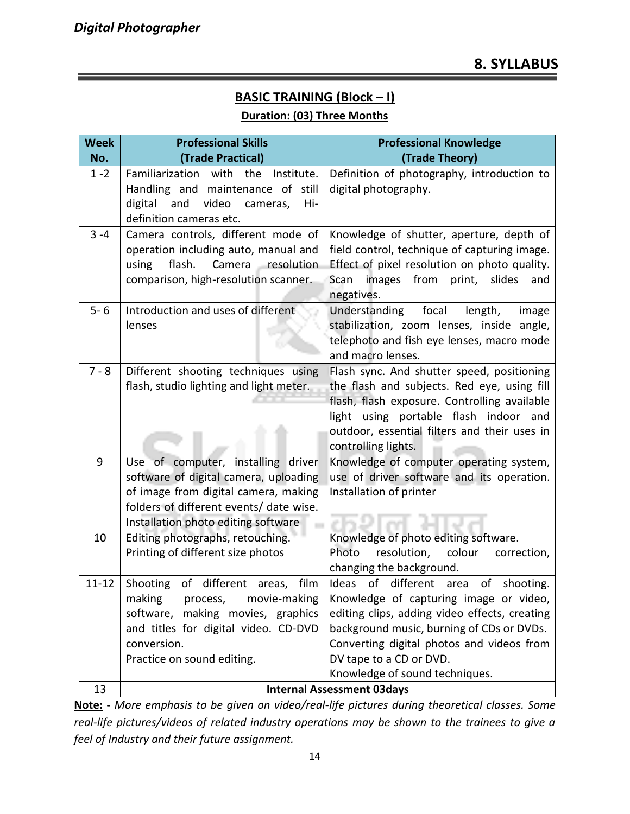#### **BASIC TRAINING (Block – I)**

#### **Duration: (03) Three Months**

| <b>Week</b> | <b>Professional Skills</b>                                                                                                                                                                            | <b>Professional Knowledge</b>                                                                                                                                                                                                                                                                |
|-------------|-------------------------------------------------------------------------------------------------------------------------------------------------------------------------------------------------------|----------------------------------------------------------------------------------------------------------------------------------------------------------------------------------------------------------------------------------------------------------------------------------------------|
| No.         | (Trade Practical)                                                                                                                                                                                     | (Trade Theory)                                                                                                                                                                                                                                                                               |
| $1 - 2$     | Familiarization<br>with<br>the<br>Institute.<br>Handling and maintenance of still<br>digital<br>and<br>video<br>Hi-<br>cameras,<br>definition cameras etc.                                            | Definition of photography, introduction to<br>digital photography.                                                                                                                                                                                                                           |
| $3 - 4$     | Camera controls, different mode of<br>operation including auto, manual and<br>flash.<br>Camera resolution<br>using<br>comparison, high-resolution scanner.                                            | Knowledge of shutter, aperture, depth of<br>field control, technique of capturing image.<br>Effect of pixel resolution on photo quality.<br>images from print, slides<br>Scan<br>and<br>negatives.                                                                                           |
| $5 - 6$     | Introduction and uses of different<br>lenses                                                                                                                                                          | focal<br>Understanding<br>length,<br>image<br>stabilization, zoom lenses, inside angle,<br>telephoto and fish eye lenses, macro mode<br>and macro lenses.                                                                                                                                    |
| $7 - 8$     | Different shooting techniques using<br>flash, studio lighting and light meter.                                                                                                                        | Flash sync. And shutter speed, positioning<br>the flash and subjects. Red eye, using fill<br>flash, flash exposure. Controlling available<br>light using portable flash indoor and<br>outdoor, essential filters and their uses in<br>controlling lights.                                    |
| 9           | Use of computer, installing driver<br>software of digital camera, uploading<br>of image from digital camera, making<br>folders of different events/ date wise.<br>Installation photo editing software | Knowledge of computer operating system,<br>use of driver software and its operation.<br>Installation of printer                                                                                                                                                                              |
| 10          | Editing photographs, retouching.<br>Printing of different size photos                                                                                                                                 | Knowledge of photo editing software.<br>Photo<br>resolution,<br>colour<br>correction,<br>changing the background.                                                                                                                                                                            |
| $11 - 12$   | Shooting of different areas,<br>film<br>making<br>process,<br>movie-making<br>software, making movies, graphics<br>and titles for digital video. CD-DVD<br>conversion.<br>Practice on sound editing.  | Ideas of different area<br>of<br>shooting.<br>Knowledge of capturing image or video,<br>editing clips, adding video effects, creating<br>background music, burning of CDs or DVDs.<br>Converting digital photos and videos from<br>DV tape to a CD or DVD.<br>Knowledge of sound techniques. |
| 13          |                                                                                                                                                                                                       | <b>Internal Assessment 03days</b>                                                                                                                                                                                                                                                            |

**Note: -** *More emphasis to be given on video/real-life pictures during theoretical classes. Some real-life pictures/videos of related industry operations may be shown to the trainees to give a feel of Industry and their future assignment.*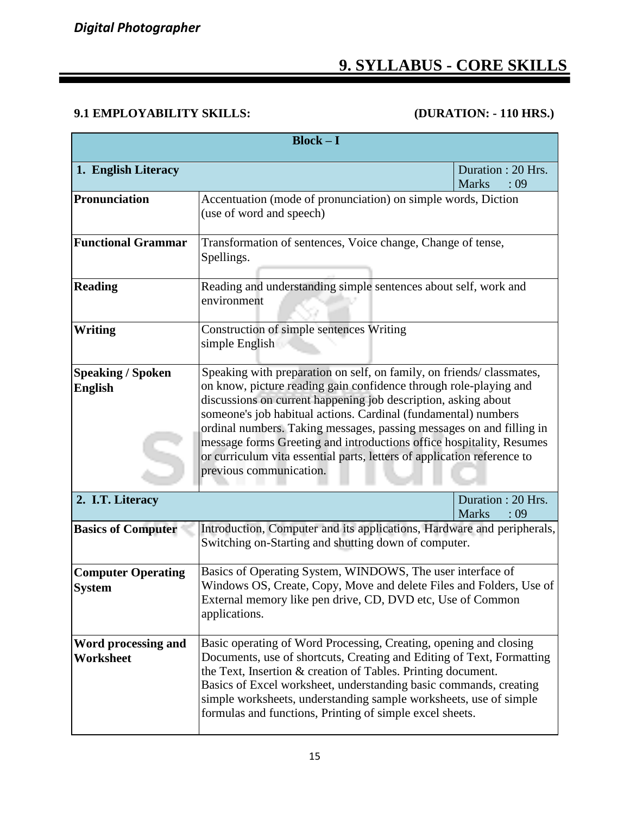#### **9. SYLLABUS - CORE SKILLS**

#### **9.1 EMPLOYABILITY SKILLS: (DURATION: - 110 HRS.)**

| $Block - I$                                |                                                                                                                                                                                                                                                                                                                                                                                                                                                                                                                                     |                                           |  |  |  |  |  |  |
|--------------------------------------------|-------------------------------------------------------------------------------------------------------------------------------------------------------------------------------------------------------------------------------------------------------------------------------------------------------------------------------------------------------------------------------------------------------------------------------------------------------------------------------------------------------------------------------------|-------------------------------------------|--|--|--|--|--|--|
| 1. English Literacy                        | Duration: 20 Hrs.<br><b>Marks</b>                                                                                                                                                                                                                                                                                                                                                                                                                                                                                                   |                                           |  |  |  |  |  |  |
| <b>Pronunciation</b>                       | Accentuation (mode of pronunciation) on simple words, Diction<br>(use of word and speech)                                                                                                                                                                                                                                                                                                                                                                                                                                           |                                           |  |  |  |  |  |  |
| <b>Functional Grammar</b>                  | Transformation of sentences, Voice change, Change of tense,<br>Spellings.                                                                                                                                                                                                                                                                                                                                                                                                                                                           |                                           |  |  |  |  |  |  |
| <b>Reading</b>                             | Reading and understanding simple sentences about self, work and<br>environment                                                                                                                                                                                                                                                                                                                                                                                                                                                      |                                           |  |  |  |  |  |  |
| <b>Writing</b>                             | Construction of simple sentences Writing<br>simple English                                                                                                                                                                                                                                                                                                                                                                                                                                                                          |                                           |  |  |  |  |  |  |
| <b>Speaking / Spoken</b><br><b>English</b> | Speaking with preparation on self, on family, on friends/classmates,<br>on know, picture reading gain confidence through role-playing and<br>discussions on current happening job description, asking about<br>someone's job habitual actions. Cardinal (fundamental) numbers<br>ordinal numbers. Taking messages, passing messages on and filling in<br>message forms Greeting and introductions office hospitality, Resumes<br>or curriculum vita essential parts, letters of application reference to<br>previous communication. |                                           |  |  |  |  |  |  |
| 2. I.T. Literacy                           |                                                                                                                                                                                                                                                                                                                                                                                                                                                                                                                                     | Duration: 20 Hrs.<br><b>Marks</b><br>: 09 |  |  |  |  |  |  |
| <b>Basics of Computer</b>                  | Introduction, Computer and its applications, Hardware and peripherals,<br>Switching on-Starting and shutting down of computer.                                                                                                                                                                                                                                                                                                                                                                                                      |                                           |  |  |  |  |  |  |
| <b>Computer Operating</b><br><b>System</b> | Basics of Operating System, WINDOWS, The user interface of<br>Windows OS, Create, Copy, Move and delete Files and Folders, Use of<br>External memory like pen drive, CD, DVD etc, Use of Common<br>applications.                                                                                                                                                                                                                                                                                                                    |                                           |  |  |  |  |  |  |
| Word processing and<br><b>Worksheet</b>    | Basic operating of Word Processing, Creating, opening and closing<br>Documents, use of shortcuts, Creating and Editing of Text, Formatting<br>the Text, Insertion & creation of Tables. Printing document.<br>Basics of Excel worksheet, understanding basic commands, creating<br>simple worksheets, understanding sample worksheets, use of simple<br>formulas and functions, Printing of simple excel sheets.                                                                                                                    |                                           |  |  |  |  |  |  |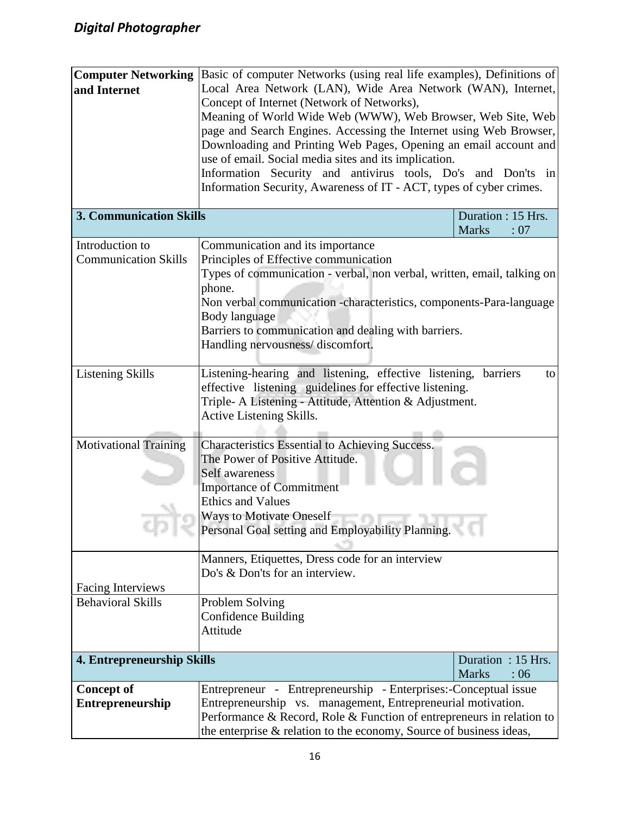| <b>Computer Networking</b><br>and Internet     | Basic of computer Networks (using real life examples), Definitions of<br>Local Area Network (LAN), Wide Area Network (WAN), Internet,<br>Concept of Internet (Network of Networks),<br>Meaning of World Wide Web (WWW), Web Browser, Web Site, Web<br>page and Search Engines. Accessing the Internet using Web Browser,<br>Downloading and Printing Web Pages, Opening an email account and<br>use of email. Social media sites and its implication.<br>Information Security and antivirus tools, Do's and Don'ts in<br>Information Security, Awareness of IT - ACT, types of cyber crimes. |                                           |  |  |  |  |  |
|------------------------------------------------|----------------------------------------------------------------------------------------------------------------------------------------------------------------------------------------------------------------------------------------------------------------------------------------------------------------------------------------------------------------------------------------------------------------------------------------------------------------------------------------------------------------------------------------------------------------------------------------------|-------------------------------------------|--|--|--|--|--|
| <b>3. Communication Skills</b>                 |                                                                                                                                                                                                                                                                                                                                                                                                                                                                                                                                                                                              | Duration : 15 Hrs.<br><b>Marks</b><br>:07 |  |  |  |  |  |
| Introduction to<br><b>Communication Skills</b> | Communication and its importance<br>Principles of Effective communication<br>Types of communication - verbal, non verbal, written, email, talking on<br>phone.<br>Non verbal communication -characteristics, components-Para-language<br>Body language<br>Barriers to communication and dealing with barriers.<br>Handling nervousness/discomfort.                                                                                                                                                                                                                                           |                                           |  |  |  |  |  |
| <b>Listening Skills</b>                        | Listening-hearing and listening, effective listening,<br>barriers<br>to<br>effective listening guidelines for effective listening.<br>Triple- A Listening - Attitude, Attention & Adjustment.<br>Active Listening Skills.                                                                                                                                                                                                                                                                                                                                                                    |                                           |  |  |  |  |  |
| <b>Motivational Training</b>                   | Characteristics Essential to Achieving Success.<br>The Power of Positive Attitude.<br>Self awareness<br><b>Importance of Commitment</b><br><b>Ethics and Values</b><br><b>Ways to Motivate Oneself</b><br>Personal Goal setting and Employability Planning.                                                                                                                                                                                                                                                                                                                                  |                                           |  |  |  |  |  |
| <b>Facing Interviews</b>                       | Manners, Etiquettes, Dress code for an interview<br>Do's & Don'ts for an interview.                                                                                                                                                                                                                                                                                                                                                                                                                                                                                                          |                                           |  |  |  |  |  |
| <b>Behavioral Skills</b>                       | Problem Solving<br><b>Confidence Building</b><br>Attitude                                                                                                                                                                                                                                                                                                                                                                                                                                                                                                                                    |                                           |  |  |  |  |  |
| 4. Entrepreneurship Skills                     |                                                                                                                                                                                                                                                                                                                                                                                                                                                                                                                                                                                              | Duration: 15 Hrs.<br><b>Marks</b><br>:06  |  |  |  |  |  |
| <b>Concept of</b><br>Entrepreneurship          | Entrepreneur - Entrepreneurship - Enterprises:-Conceptual issue<br>Entrepreneurship vs. management, Entrepreneurial motivation.<br>Performance & Record, Role & Function of entrepreneurs in relation to<br>the enterprise & relation to the economy, Source of business ideas,                                                                                                                                                                                                                                                                                                              |                                           |  |  |  |  |  |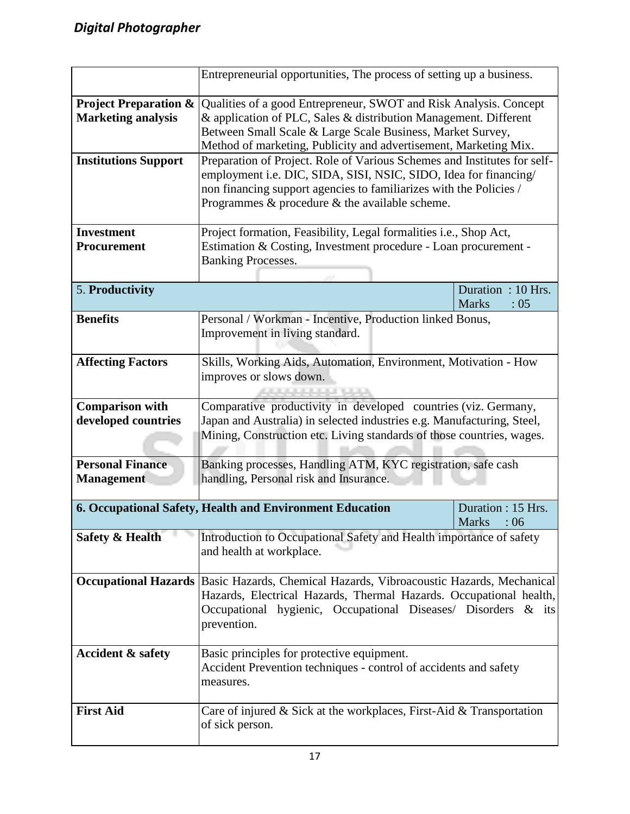|                                                                                              | Entrepreneurial opportunities, The process of setting up a business.                                                                                                                                                                                                       |                                          |  |  |  |  |  |  |
|----------------------------------------------------------------------------------------------|----------------------------------------------------------------------------------------------------------------------------------------------------------------------------------------------------------------------------------------------------------------------------|------------------------------------------|--|--|--|--|--|--|
| <b>Project Preparation &amp;</b><br><b>Marketing analysis</b><br><b>Institutions Support</b> | Qualities of a good Entrepreneur, SWOT and Risk Analysis. Concept<br>& application of PLC, Sales & distribution Management. Different<br>Between Small Scale & Large Scale Business, Market Survey,<br>Method of marketing, Publicity and advertisement, Marketing Mix.    |                                          |  |  |  |  |  |  |
|                                                                                              | Preparation of Project. Role of Various Schemes and Institutes for self-<br>employment i.e. DIC, SIDA, SISI, NSIC, SIDO, Idea for financing/<br>non financing support agencies to familiarizes with the Policies /<br>Programmes $\&$ procedure $\&$ the available scheme. |                                          |  |  |  |  |  |  |
| <b>Investment</b><br>Procurement                                                             | Project formation, Feasibility, Legal formalities i.e., Shop Act,<br>Estimation & Costing, Investment procedure - Loan procurement -<br><b>Banking Processes.</b>                                                                                                          |                                          |  |  |  |  |  |  |
| 5. Productivity                                                                              |                                                                                                                                                                                                                                                                            | Duration: 10 Hrs.<br><b>Marks</b><br>:05 |  |  |  |  |  |  |
| <b>Benefits</b>                                                                              | Personal / Workman - Incentive, Production linked Bonus,<br>Improvement in living standard.                                                                                                                                                                                |                                          |  |  |  |  |  |  |
| <b>Affecting Factors</b>                                                                     | Skills, Working Aids, Automation, Environment, Motivation - How<br>improves or slows down.<br>فيترمونه موسوس ومسترعيه                                                                                                                                                      |                                          |  |  |  |  |  |  |
| <b>Comparison with</b><br>developed countries                                                | Comparative productivity in developed countries (viz. Germany,<br>Japan and Australia) in selected industries e.g. Manufacturing, Steel,<br>Mining, Construction etc. Living standards of those countries, wages.                                                          |                                          |  |  |  |  |  |  |
| <b>Personal Finance</b><br><b>Management</b>                                                 | Banking processes, Handling ATM, KYC registration, safe cash<br>handling, Personal risk and Insurance.                                                                                                                                                                     |                                          |  |  |  |  |  |  |
|                                                                                              | 6. Occupational Safety, Health and Environment Education                                                                                                                                                                                                                   | Duration: 15 Hrs.<br>Marks : 06          |  |  |  |  |  |  |
| <b>Safety &amp; Health</b>                                                                   | Introduction to Occupational Safety and Health importance of safety<br>and health at workplace.                                                                                                                                                                            |                                          |  |  |  |  |  |  |
| <b>Occupational Hazards</b>                                                                  | Basic Hazards, Chemical Hazards, Vibroacoustic Hazards, Mechanical<br>Hazards, Electrical Hazards, Thermal Hazards. Occupational health,<br>Occupational hygienic, Occupational Diseases/ Disorders & its<br>prevention.                                                   |                                          |  |  |  |  |  |  |
| <b>Accident &amp; safety</b>                                                                 | Basic principles for protective equipment.<br>Accident Prevention techniques - control of accidents and safety<br>measures.                                                                                                                                                |                                          |  |  |  |  |  |  |
| <b>First Aid</b>                                                                             | Care of injured $&$ Sick at the workplaces, First-Aid $&$ Transportation<br>of sick person.                                                                                                                                                                                |                                          |  |  |  |  |  |  |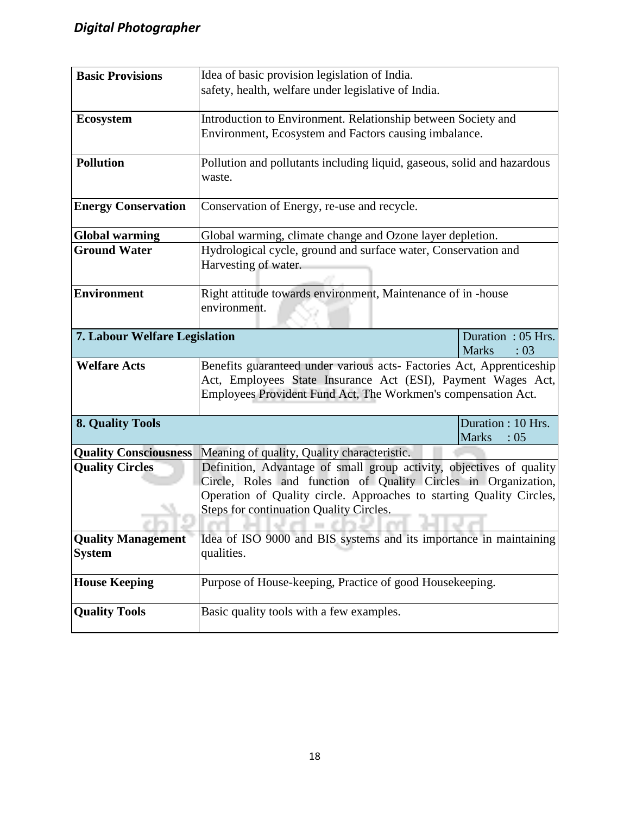| <b>Basic Provisions</b>       | Idea of basic provision legislation of India.                                     |                      |  |  |  |  |  |  |  |
|-------------------------------|-----------------------------------------------------------------------------------|----------------------|--|--|--|--|--|--|--|
|                               | safety, health, welfare under legislative of India.                               |                      |  |  |  |  |  |  |  |
|                               |                                                                                   |                      |  |  |  |  |  |  |  |
| Ecosystem                     | Introduction to Environment. Relationship between Society and                     |                      |  |  |  |  |  |  |  |
|                               | Environment, Ecosystem and Factors causing imbalance.                             |                      |  |  |  |  |  |  |  |
| <b>Pollution</b>              | Pollution and pollutants including liquid, gaseous, solid and hazardous<br>waste. |                      |  |  |  |  |  |  |  |
| <b>Energy Conservation</b>    | Conservation of Energy, re-use and recycle.                                       |                      |  |  |  |  |  |  |  |
| <b>Global warming</b>         | Global warming, climate change and Ozone layer depletion.                         |                      |  |  |  |  |  |  |  |
| <b>Ground Water</b>           | Hydrological cycle, ground and surface water, Conservation and                    |                      |  |  |  |  |  |  |  |
|                               | Harvesting of water.                                                              |                      |  |  |  |  |  |  |  |
| <b>Environment</b>            | Right attitude towards environment, Maintenance of in -house                      |                      |  |  |  |  |  |  |  |
|                               | environment.                                                                      |                      |  |  |  |  |  |  |  |
| 7. Labour Welfare Legislation |                                                                                   | Duration: 05 Hrs.    |  |  |  |  |  |  |  |
| <b>Welfare Acts</b>           | Benefits guaranteed under various acts- Factories Act, Apprenticeship             | <b>Marks</b><br>: 03 |  |  |  |  |  |  |  |
|                               | Act, Employees State Insurance Act (ESI), Payment Wages Act,                      |                      |  |  |  |  |  |  |  |
|                               | Employees Provident Fund Act, The Workmen's compensation Act.                     |                      |  |  |  |  |  |  |  |
| <b>8. Quality Tools</b>       |                                                                                   | Duration: 10 Hrs.    |  |  |  |  |  |  |  |
|                               |                                                                                   | <b>Marks</b><br>:05  |  |  |  |  |  |  |  |
| <b>Quality Consciousness</b>  | Meaning of quality, Quality characteristic.                                       |                      |  |  |  |  |  |  |  |
| <b>Quality Circles</b>        | Definition, Advantage of small group activity, objectives of quality              |                      |  |  |  |  |  |  |  |
|                               | Circle, Roles and function of Quality Circles in Organization,                    |                      |  |  |  |  |  |  |  |
|                               | Operation of Quality circle. Approaches to starting Quality Circles,              |                      |  |  |  |  |  |  |  |
|                               | Steps for continuation Quality Circles.                                           |                      |  |  |  |  |  |  |  |
| <b>Quality Management</b>     | Idea of ISO 9000 and BIS systems and its importance in maintaining                |                      |  |  |  |  |  |  |  |
| <b>System</b>                 | qualities.                                                                        |                      |  |  |  |  |  |  |  |
| <b>House Keeping</b>          | Purpose of House-keeping, Practice of good Housekeeping.                          |                      |  |  |  |  |  |  |  |
| <b>Quality Tools</b>          | Basic quality tools with a few examples.                                          |                      |  |  |  |  |  |  |  |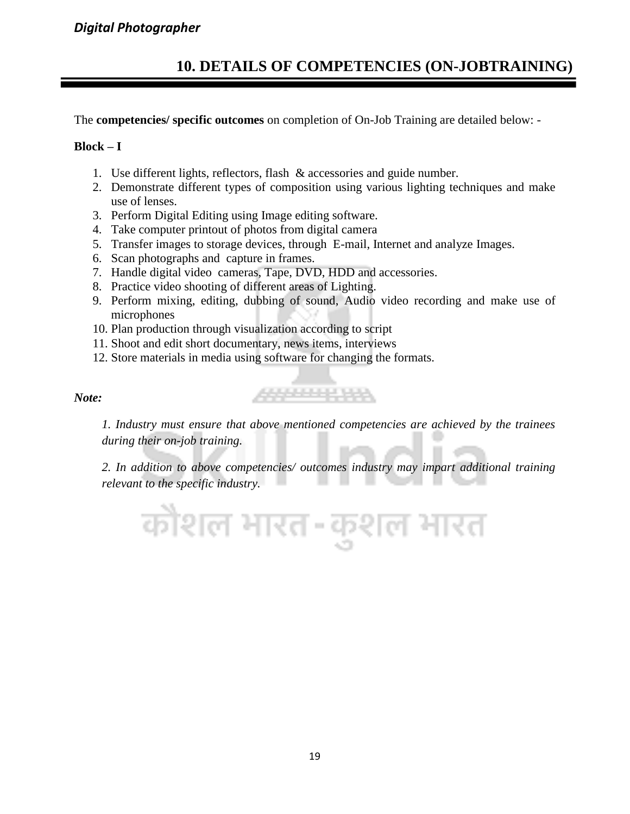#### *Digital Photographer*

#### **10. DETAILS OF COMPETENCIES (ON-JOBTRAINING)**

The **competencies/ specific outcomes** on completion of On-Job Training are detailed below: -

#### $Block - I$

- 1. Use different lights, reflectors, flash & accessories and guide number.
- 2. Demonstrate different types of composition using various lighting techniques and make use of lenses.
- 3. Perform Digital Editing using Image editing software.
- 4. Take computer printout of photos from digital camera
- 5. Transfer images to storage devices, through E-mail, Internet and analyze Images.
- 6. Scan photographs and capture in frames.
- 7. Handle digital video cameras, Tape, DVD, HDD and accessories.
- 8. Practice video shooting of different areas of Lighting.
- 9. Perform mixing, editing, dubbing of sound, Audio video recording and make use of microphones
- 10. Plan production through visualization according to script
- 11. Shoot and edit short documentary, news items, interviews
- 12. Store materials in media using software for changing the formats.

#### *Note:*

*1. Industry must ensure that above mentioned competencies are achieved by the trainees during their on-job training.*

555565556

*2. In addition to above competencies/ outcomes industry may impart additional training relevant to the specific industry.*

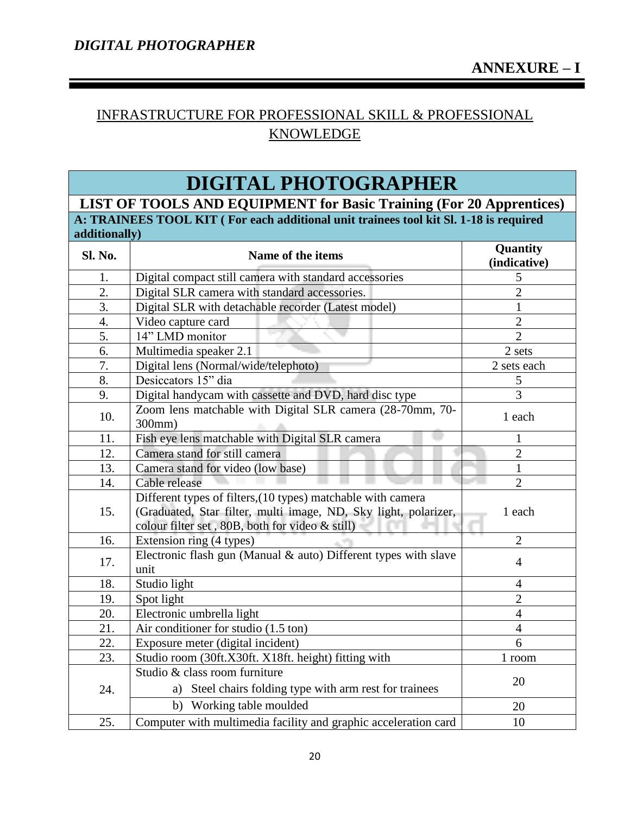#### INFRASTRUCTURE FOR PROFESSIONAL SKILL & PROFESSIONAL KNOWLEDGE

### **DIGITAL PHOTOGRAPHER**

**LIST OF TOOLS AND EQUIPMENT for Basic Training (For 20 Apprentices) A: TRAINEES TOOL KIT ( For each additional unit trainees tool kit Sl. 1-18 is required additionally)** 

| Sl. No. | Name of the items                                                                                                                                                                  | Quantity<br>(indicative) |  |  |  |
|---------|------------------------------------------------------------------------------------------------------------------------------------------------------------------------------------|--------------------------|--|--|--|
| 1.      | Digital compact still camera with standard accessories                                                                                                                             | 5                        |  |  |  |
| 2.      | Digital SLR camera with standard accessories.                                                                                                                                      | $\overline{2}$           |  |  |  |
| 3.      | Digital SLR with detachable recorder (Latest model)                                                                                                                                | 1                        |  |  |  |
| 4.      | Video capture card                                                                                                                                                                 | $\overline{2}$           |  |  |  |
| 5.      | 14" LMD monitor                                                                                                                                                                    | $\overline{2}$           |  |  |  |
| 6.      | Multimedia speaker 2.1                                                                                                                                                             | 2 sets                   |  |  |  |
| 7.      | Digital lens (Normal/wide/telephoto)                                                                                                                                               | 2 sets each              |  |  |  |
| 8.      | Desiccators 15" dia                                                                                                                                                                | $\mathfrak{S}$           |  |  |  |
| 9.      | Digital handycam with cassette and DVD, hard disc type                                                                                                                             | 3                        |  |  |  |
| 10.     | Zoom lens matchable with Digital SLR camera (28-70mm, 70-<br>300mm)                                                                                                                | 1 each                   |  |  |  |
| 11.     | Fish eye lens matchable with Digital SLR camera                                                                                                                                    | 1                        |  |  |  |
| 12.     | Camera stand for still camera                                                                                                                                                      | $\overline{2}$           |  |  |  |
| 13.     | Camera stand for video (low base)                                                                                                                                                  | 1                        |  |  |  |
| 14.     | Cable release                                                                                                                                                                      | $\overline{2}$           |  |  |  |
| 15.     | Different types of filters, (10 types) matchable with camera<br>(Graduated, Star filter, multi image, ND, Sky light, polarizer,<br>colour filter set, 80B, both for video & still) | 1 each                   |  |  |  |
| 16.     | Extension ring (4 types)                                                                                                                                                           | $\overline{2}$           |  |  |  |
| 17.     | Electronic flash gun (Manual & auto) Different types with slave<br>unit                                                                                                            | $\overline{4}$           |  |  |  |
| 18.     | Studio light                                                                                                                                                                       | $\overline{4}$           |  |  |  |
| 19.     | Spot light                                                                                                                                                                         | $\overline{2}$           |  |  |  |
| 20.     | Electronic umbrella light                                                                                                                                                          | $\overline{4}$           |  |  |  |
| 21.     | Air conditioner for studio (1.5 ton)                                                                                                                                               | $\overline{4}$           |  |  |  |
| 22.     | Exposure meter (digital incident)                                                                                                                                                  | 6                        |  |  |  |
| 23.     | Studio room (30ft.X30ft. X18ft. height) fitting with                                                                                                                               | 1 room                   |  |  |  |
| 24.     | Studio & class room furniture<br>Steel chairs folding type with arm rest for trainees<br>a)                                                                                        | 20                       |  |  |  |
|         | b) Working table moulded                                                                                                                                                           | 20                       |  |  |  |
| 25.     | Computer with multimedia facility and graphic acceleration card                                                                                                                    | 10                       |  |  |  |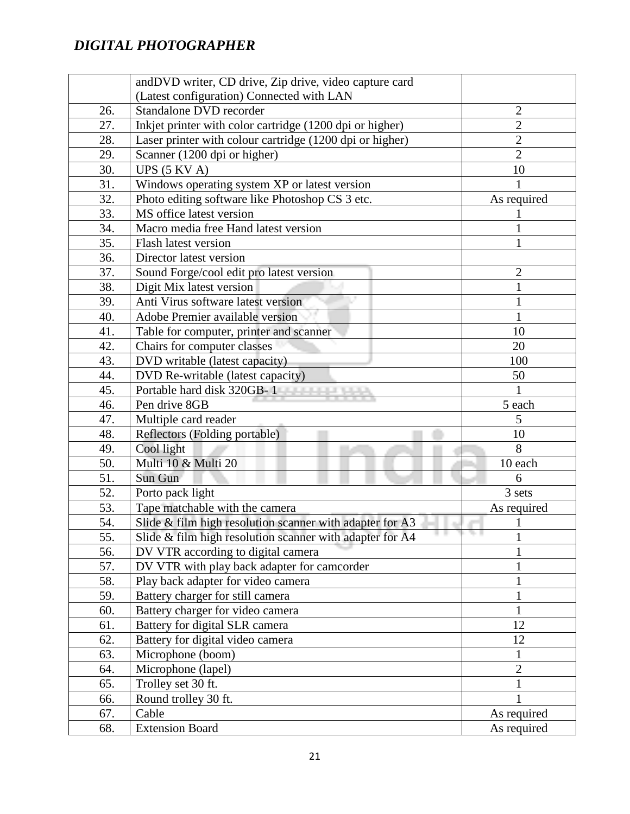|                   | andDVD writer, CD drive, Zip drive, video capture card   |                |
|-------------------|----------------------------------------------------------|----------------|
|                   | (Latest configuration) Connected with LAN                |                |
| 26.               | Standalone DVD recorder                                  | $\mathbf{2}$   |
| 27.               | Inkjet printer with color cartridge (1200 dpi or higher) | $\overline{2}$ |
| 28.               | Laser printer with colour cartridge (1200 dpi or higher) | $\overline{2}$ |
| 29.               | Scanner (1200 dpi or higher)                             | $\overline{2}$ |
| 30.               | UPS $(5 KVA)$                                            | 10             |
| 31.               | Windows operating system XP or latest version            |                |
| 32.               | Photo editing software like Photoshop CS 3 etc.          | As required    |
| 33.               | MS office latest version                                 |                |
| 34.               | Macro media free Hand latest version                     | 1              |
| 35.               | Flash latest version                                     | 1              |
| 36.               | Director latest version                                  |                |
| 37.               | Sound Forge/cool edit pro latest version                 | $\overline{c}$ |
| 38.               | Digit Mix latest version                                 | 1              |
| 39.               | Anti Virus software latest version                       | 1              |
| 40.               | Adobe Premier available version                          | 1              |
| 41.               | Table for computer, printer and scanner                  | 10             |
| 42.               | Chairs for computer classes                              | 20             |
| 43.               | DVD writable (latest capacity)                           | 100            |
| 44.               | DVD Re-writable (latest capacity)                        | 50             |
| 45.               | Portable hard disk 320GB-1                               |                |
| 46.               | Pen drive 8GB                                            | 5 each         |
| 47.               | Multiple card reader                                     | 5              |
| 48.               | Reflectors (Folding portable)                            | 10             |
| 49.               | Cool light                                               | 8              |
| 50.               | Multi 10 & Multi 20                                      | 10 each        |
| 51.               | Sun Gun                                                  | 6              |
| 52.               | Porto pack light                                         | 3 sets         |
| 53.               | Tape matchable with the camera                           | As required    |
| 54.               | Slide & film high resolution scanner with adapter for A3 | 1              |
| $\overline{55}$ . | Slide & film high resolution scanner with adapter for A4 | 1              |
| 56.               | DV VTR according to digital camera                       |                |
| 57.               | DV VTR with play back adapter for camcorder              | $\mathbf{1}$   |
| 58.               | Play back adapter for video camera                       |                |
| 59.               | Battery charger for still camera                         | 1              |
| 60.               | Battery charger for video camera                         | $\mathbf{1}$   |
| 61.               | Battery for digital SLR camera                           | 12             |
| 62.               | Battery for digital video camera                         | 12             |
| 63.               | Microphone (boom)                                        | 1              |
| 64.               | Microphone (lapel)                                       | $\overline{2}$ |
| 65.               | Trolley set 30 ft.                                       | $\mathbf{1}$   |
| 66.               | Round trolley 30 ft.                                     |                |
| 67.               | Cable                                                    | As required    |
| 68.               | <b>Extension Board</b>                                   | As required    |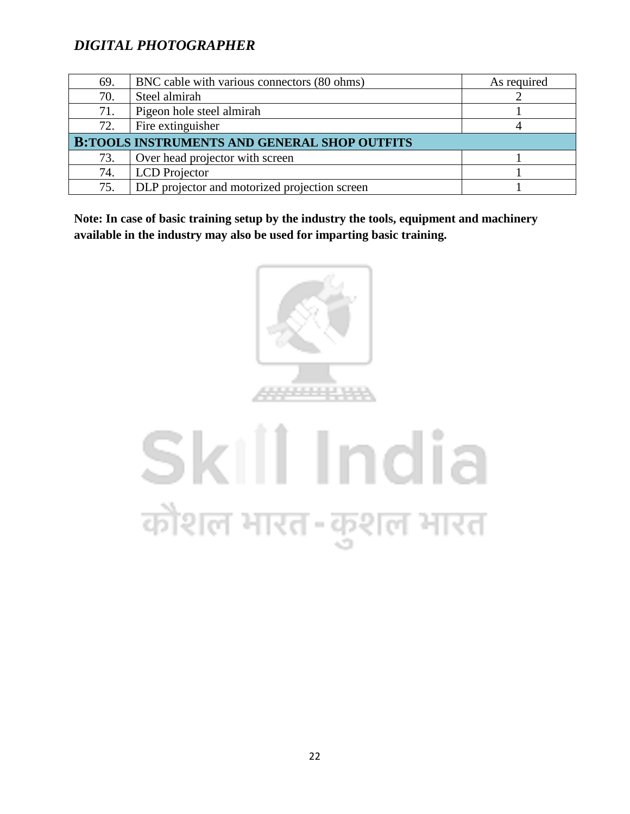| 69.                                                 | BNC cable with various connectors (80 ohms)   | As required |  |  |  |  |  |  |
|-----------------------------------------------------|-----------------------------------------------|-------------|--|--|--|--|--|--|
| 70.                                                 | Steel almirah                                 |             |  |  |  |  |  |  |
| 71.                                                 | Pigeon hole steel almirah                     |             |  |  |  |  |  |  |
| 72.                                                 | Fire extinguisher                             |             |  |  |  |  |  |  |
| <b>B:TOOLS INSTRUMENTS AND GENERAL SHOP OUTFITS</b> |                                               |             |  |  |  |  |  |  |
| 73.                                                 | Over head projector with screen               |             |  |  |  |  |  |  |
| 74.                                                 | <b>LCD</b> Projector                          |             |  |  |  |  |  |  |
| 75.                                                 | DLP projector and motorized projection screen |             |  |  |  |  |  |  |

**Note: In case of basic training setup by the industry the tools, equipment and machinery available in the industry may also be used for imparting basic training.**



# Skill India कोशल भारत-कुशल भारत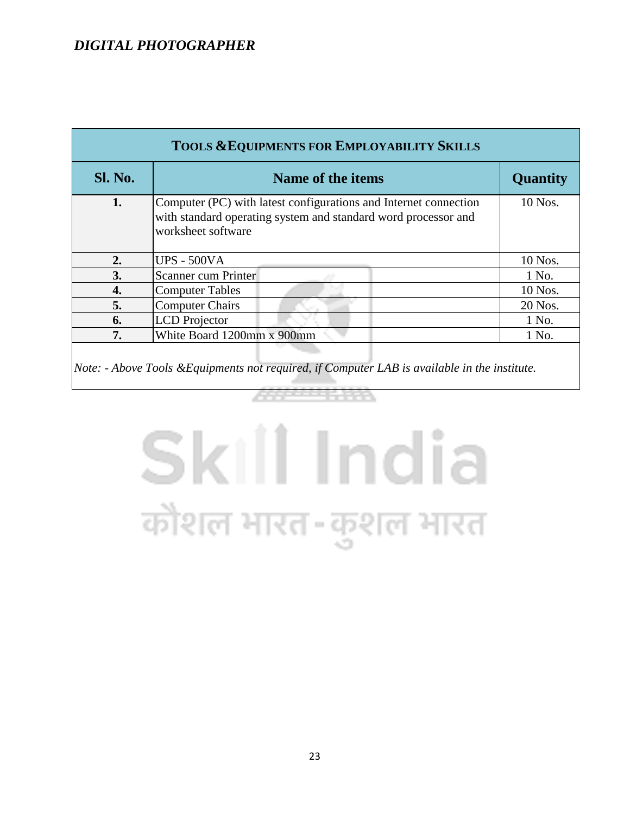| <b>TOOLS &amp; EQUIPMENTS FOR EMPLOYABILITY SKILLS</b> |                                                                                                                                                          |                 |  |  |  |  |  |  |  |
|--------------------------------------------------------|----------------------------------------------------------------------------------------------------------------------------------------------------------|-----------------|--|--|--|--|--|--|--|
| Sl. No.                                                | Name of the items                                                                                                                                        | <b>Quantity</b> |  |  |  |  |  |  |  |
| 1.                                                     | Computer (PC) with latest configurations and Internet connection<br>with standard operating system and standard word processor and<br>worksheet software | 10 Nos.         |  |  |  |  |  |  |  |
| 2.                                                     | <b>UPS - 500VA</b>                                                                                                                                       | 10 Nos.         |  |  |  |  |  |  |  |
| 3.                                                     | Scanner cum Printer                                                                                                                                      | 1 No.           |  |  |  |  |  |  |  |
| 4.                                                     | <b>Computer Tables</b>                                                                                                                                   | 10 Nos.         |  |  |  |  |  |  |  |
| 5.                                                     | <b>Computer Chairs</b>                                                                                                                                   | 20 Nos.         |  |  |  |  |  |  |  |
| 6.                                                     | <b>LCD</b> Projector                                                                                                                                     | 1 No.           |  |  |  |  |  |  |  |
| 7.                                                     | White Board 1200mm x 900mm                                                                                                                               | 1 No.           |  |  |  |  |  |  |  |
|                                                        |                                                                                                                                                          |                 |  |  |  |  |  |  |  |

*Note: - Above Tools &Equipments not required, if Computer LAB is available in the institute.*

# Skill India कौशल भारत-कुशल भारत